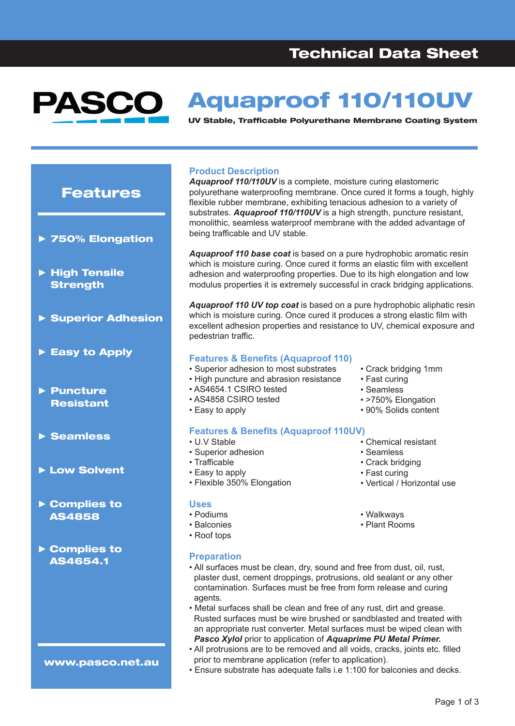#### Aquaproof 110/110UV PAS UV Stable, Trafficable Polyurethane Membrane Coating System

### Features

- **►** 750% Elongation
- **►** High Tensile **Strength**
- **►** Superior Adhesion
- **►** Easy to Apply
- **►** Puncture **Resistant**
- **►** Seamless
- **►** Low Solvent
- **►** Complies to AS4858
- **►** Complies to AS4654.1

www.pasco.net.au

#### **Product Description**

*Aquaproof 110/110UV* is a complete, moisture curing elastomeric polyurethane waterproofing membrane. Once cured it forms a tough, highly flexible rubber membrane, exhibiting tenacious adhesion to a variety of substrates. *Aquaproof 110/110UV* is a high strength, puncture resistant, monolithic, seamless waterproof membrane with the added advantage of being trafficable and UV stable.

*Aquaproof 110 base coat* is based on a pure hydrophobic aromatic resin which is moisture curing. Once cured it forms an elastic film with excellent adhesion and waterproofing properties. Due to its high elongation and low modulus properties it is extremely successful in crack bridging applications.

*Aquaproof 110 UV top coat* is based on a pure hydrophobic aliphatic resin which is moisture curing. Once cured it produces a strong elastic film with excellent adhesion properties and resistance to UV, chemical exposure and pedestrian traffic.

#### **Features & Benefits (Aquaproof 110)**

- Superior adhesion to most substrates
- High puncture and abrasion resistance
- AS4654.1 CSIRO tested
- AS4858 CSIRO tested
- Easy to apply

#### **Features & Benefits (Aquaproof 110UV)**

- U.V Stable
- Superior adhesion
- Trafficable
- Easy to apply
- Flexible 350% Elongation

#### **Uses**

- Podiums
- Balconies
- Roof tops
- 
- Chemical resistant
- Seamless
- Crack bridging
- Fast curing
- Vertical / Horizontal use
- Walkways
- Plant Rooms

- **Preparation**
- All surfaces must be clean, dry, sound and free from dust, oil, rust, plaster dust, cement droppings, protrusions, old sealant or any other contamination. Surfaces must be free from form release and curing agents.
- Metal surfaces shall be clean and free of any rust, dirt and grease. Rusted surfaces must be wire brushed or sandblasted and treated with an appropriate rust converter. Metal surfaces must be wiped clean with *Pasco Xylol* prior to application of *Aquaprime PU Metal Primer.*
- All protrusions are to be removed and all voids, cracks, joints etc. filled prior to membrane application (refer to application).
- Ensure substrate has adequate falls i.e 1:100 for balconies and decks.
	- Page 1 of 3
- Crack bridging 1mm • Fast curing
	-
	- Seamless
	- >750% Elongation
	- 90% Solids content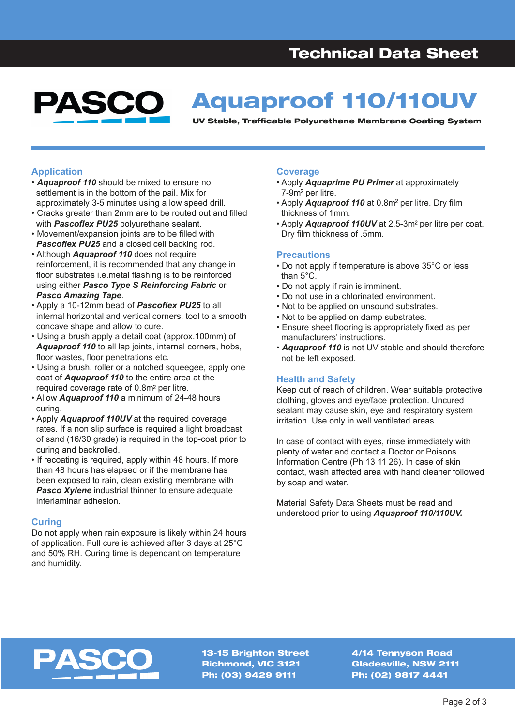#### Aquaproof 110/110UV PASC UV Stable, Trafficable Polyurethane Membrane Coating System

#### **Application**

- *Aquaproof 110* should be mixed to ensure no settlement is in the bottom of the pail. Mix for approximately 3-5 minutes using a low speed drill.
- Cracks greater than 2mm are to be routed out and filled with *Pascoflex PU25* polyurethane sealant.
- Movement/expansion joints are to be filled with **Pascoflex PU25** and a closed cell backing rod.
- Although *Aquaproof 110* does not require reinforcement, it is recommended that any change in floor substrates i.e.metal flashing is to be reinforced using either *Pasco Type S Reinforcing Fabric* or *Pasco Amazing Tape*.
- Apply a 10-12mm bead of *Pascoflex PU25* to all internal horizontal and vertical corners, tool to a smooth concave shape and allow to cure.
- Using a brush apply a detail coat (approx.100mm) of *Aquaproof 110* to all lap joints, internal corners, hobs, floor wastes, floor penetrations etc.
- Using a brush, roller or a notched squeegee, apply one coat of *Aquaproof 110* to the entire area at the required coverage rate of 0.8m<sup>2</sup> per litre.
- Allow *Aquaproof 110* a minimum of 24-48 hours curing.
- Apply *Aquaproof 110UV* at the required coverage rates. If a non slip surface is required a light broadcast of sand (16/30 grade) is required in the top-coat prior to curing and backrolled.
- If recoating is required, apply within 48 hours. If more than 48 hours has elapsed or if the membrane has been exposed to rain, clean existing membrane with **Pasco Xylene** industrial thinner to ensure adequate interlaminar adhesion.

#### **Curing**

Do not apply when rain exposure is likely within 24 hours of application. Full cure is achieved after 3 days at 25°C and 50% RH. Curing time is dependant on temperature and humidity.

#### **Coverage**

- Apply *Aquaprime PU Primer* at approximately  $7-9m<sup>2</sup>$  per litre.
- Apply **Aquaproof 110** at 0.8m<sup>2</sup> per litre. Dry film thickness of 1mm.
- Apply *Aquaproof 110UV* at 2.5-3m<sup>2</sup> per litre per coat. Dry film thickness of .5mm.

#### **Precautions**

- Do not apply if temperature is above 35°C or less than 5°C.
- Do not apply if rain is imminent.
- Do not use in a chlorinated environment.
- Not to be applied on unsound substrates.
- Not to be applied on damp substrates.
- Ensure sheet flooring is appropriately fixed as per manufacturers' instructions.
- *Aquaproof 110* is not UV stable and should therefore not be left exposed.

#### **Health and Safety**

Keep out of reach of children. Wear suitable protective clothing, gloves and eye/face protection. Uncured sealant may cause skin, eye and respiratory system irritation. Use only in well ventilated areas.

In case of contact with eyes, rinse immediately with plenty of water and contact a Doctor or Poisons Information Centre (Ph 13 11 26). In case of skin contact, wash affected area with hand cleaner followed by soap and water.

Material Safety Data Sheets must be read and understood prior to using *Aquaproof 110/110UV.*



13-15 Brighton Street Richmond, VIC 3121 Ph: (03) 9429 9111

4/14 Tennyson Road Gladesville, NSW 2111 Ph: (02) 9817 4441